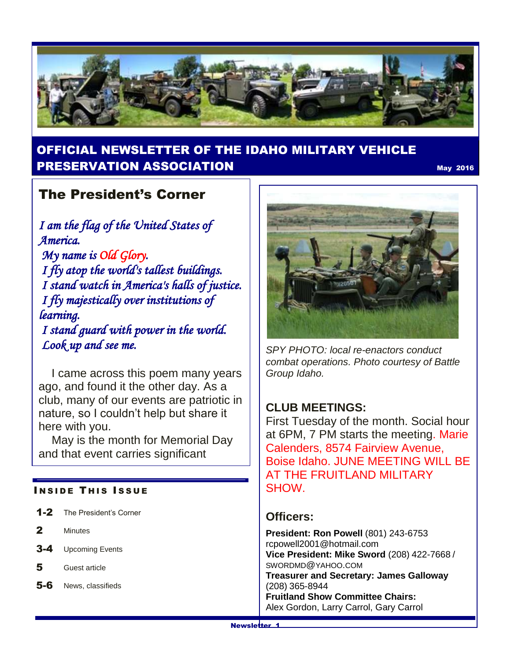

# OFFICIAL NEWSLETTER OF THE IDAHO MILITARY VEHICLE **PRESERVATION ASSOCIATION** May 2016

# The President's Corner

*I am the flag of the United States of America. My name is Old Glory. I fly atop the world's tallest buildings. I stand watch in America's halls of justice. I fly majestically over institutions of learning. I stand guard with power in the world.*

 *Look up and see me.*

 I came across this poem many years ago, and found it the other day. As a club, many of our events are patriotic in nature, so I couldn't help but share it here with you.

 May is the month for Memorial Day and that event carries significant

#### **INSIDE THIS ISSUE**

- 1-2 The President's Corner
- 2 Minutes
- 3-4 Upcoming Events
- 5 Guest article
- 5-6 News, classifieds



*SPY PHOTO: local re-enactors conduct combat operations. Photo courtesy of Battle Group Idaho.*

### **CLUB MEETINGS:**

First Tuesday of the month. Social hour at 6PM, 7 PM starts the meeting. Marie Calenders, 8574 Fairview Avenue, Boise Idaho. JUNE MEETING WILL BE AT THE FRUITLAND MILITARY SHOW.

### **Officers:**

**President: Ron Powell** (801) 243-6753 rcpowell2001@hotmail.com **Vice President: Mike Sword** (208) 422-7668 / SWORDMD@YAHOO.COM **Treasurer and Secretary: James Galloway**  (208) 365-8944 **Fruitland Show Committee Chairs:** Alex Gordon, Larry Carrol, Gary Carrol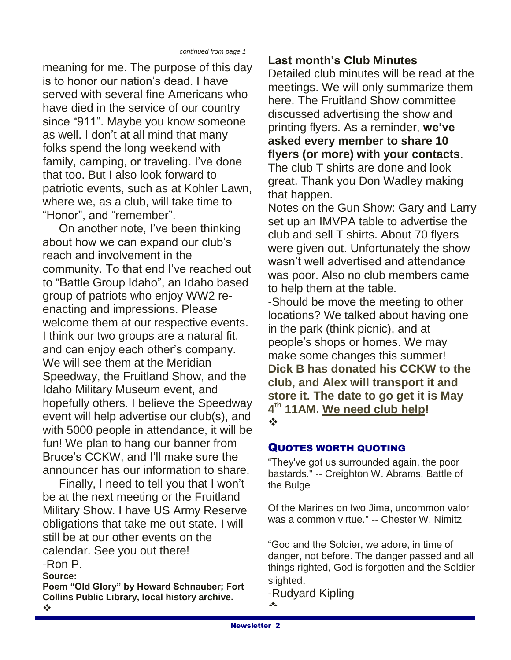meaning for me. The purpose of this day is to honor our nation's dead. I have served with several fine Americans who have died in the service of our country since "911". Maybe you know someone as well. I don't at all mind that many folks spend the long weekend with family, camping, or traveling. I've done that too. But I also look forward to patriotic events, such as at Kohler Lawn, where we, as a club, will take time to "Honor", and "remember".

 On another note, I've been thinking about how we can expand our club's reach and involvement in the community. To that end I've reached out to "Battle Group Idaho", an Idaho based group of patriots who enjoy WW2 reenacting and impressions. Please welcome them at our respective events. I think our two groups are a natural fit, and can enjoy each other's company. We will see them at the Meridian Speedway, the Fruitland Show, and the Idaho Military Museum event, and hopefully others. I believe the Speedway event will help advertise our club(s), and with 5000 people in attendance, it will be fun! We plan to hang our banner from Bruce's CCKW, and I'll make sure the announcer has our information to share.

 Finally, I need to tell you that I won't be at the next meeting or the Fruitland Military Show. I have US Army Reserve obligations that take me out state. I will still be at our other events on the calendar. See you out there! -Ron P.

**Source:** 

**Poem "Old Glory" by Howard Schnauber; Fort Collins Public Library, local history archive.**

## **Last month's Club Minutes**

Detailed club minutes will be read at the meetings. We will only summarize them here. The Fruitland Show committee discussed advertising the show and printing flyers. As a reminder, **we've asked every member to share 10 flyers (or more) with your contacts**. The club T shirts are done and look great. Thank you Don Wadley making that happen.

Notes on the Gun Show: Gary and Larry set up an IMVPA table to advertise the club and sell T shirts. About 70 flyers were given out. Unfortunately the show wasn't well advertised and attendance was poor. Also no club members came to help them at the table.

-Should be move the meeting to other locations? We talked about having one in the park (think picnic), and at people's shops or homes. We may make some changes this summer! **Dick B has donated his CCKW to the club, and Alex will transport it and store it. The date to go get it is May 4 th 11AM. We need club help!**  $\frac{1}{2}$ 

#### QUOTES WORTH QUOTING

"They've got us surrounded again, the poor bastards." -- Creighton W. Abrams, Battle of the Bulge

Of the Marines on Iwo Jima, uncommon valor was a common virtue." -- Chester W. Nimitz

"God and the Soldier, we adore, in time of danger, not before. The danger passed and all things righted, God is forgotten and the Soldier slighted.

-Rudyard Kipling  $\mathbf{A}$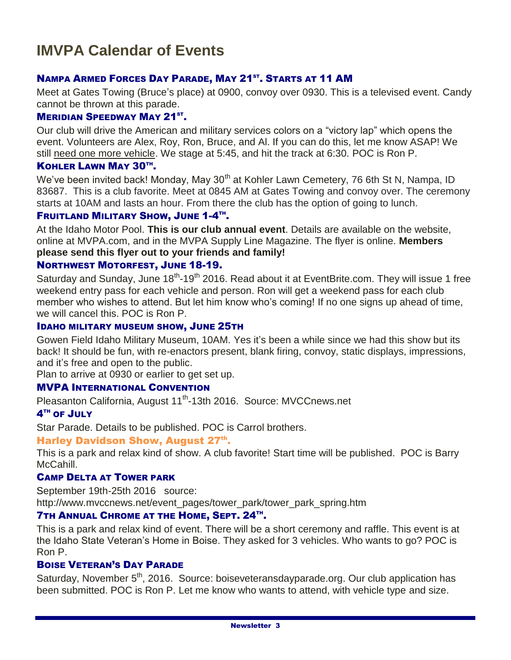#### NAMPA ARMED FORCES DAY PARADE, MAY 21<sup>ST</sup>. STARTS AT 11 AM

Meet at Gates Towing (Bruce's place) at 0900, convoy over 0930. This is a televised event. Candy cannot be thrown at this parade.

#### **MERIDIAN SPEEDWAY MAY 21ST.**

Our club will drive the American and military services colors on a "victory lap" which opens the event. Volunteers are Alex, Roy, Ron, Bruce, and Al. If you can do this, let me know ASAP! We still need one more vehicle. We stage at 5:45, and hit the track at 6:30. POC is Ron P.

#### KOHLER LAWN MAY 30TH.

We've been invited back! Monday, May 30<sup>th</sup> at Kohler Lawn Cemetery, 76 6th St N, Nampa, ID 83687. This is a club favorite. Meet at 0845 AM at Gates Towing and convoy over. The ceremony starts at 10AM and lasts an hour. From there the club has the option of going to lunch.

#### FRUITLAND MILITARY SHOW, JUNE 1-4TH.

At the Idaho Motor Pool. **This is our club annual event**. Details are available on the website, online at MVPA.com, and in the MVPA Supply Line Magazine. The flyer is online. **Members please send this flyer out to your friends and family!**

#### NORTHWEST MOTORFEST, JUNE 18-19.

Saturday and Sunday, June 18<sup>th</sup>-19<sup>th</sup> 2016. Read about it at EventBrite.com. They will issue 1 free weekend entry pass for each vehicle and person. Ron will get a weekend pass for each club member who wishes to attend. But let him know who's coming! If no one signs up ahead of time, we will cancel this. POC is Ron P.

#### IDAHO MILITARY MUSEUM SHOW, JUNE 25TH

Gowen Field Idaho Military Museum, 10AM. Yes it's been a while since we had this show but its back! It should be fun, with re-enactors present, blank firing, convoy, static displays, impressions, and it's free and open to the public.

Plan to arrive at 0930 or earlier to get set up.

#### MVPA INTERNATIONAL CONVENTION

Pleasanton California, August 11<sup>th</sup>-13th 2016. Source: MVCCnews.net

#### $4^{\text{\tiny{TH}}}$  of  $\text{\sf{JULY}}$

Star Parade. Details to be published. POC is Carrol brothers.

#### Harley Davidson Show, August 27<sup>th</sup>.

This is a park and relax kind of show. A club favorite! Start time will be published. POC is Barry McCahill.

#### CAMP DELTA AT TOWER PARK

September 19th-25th 2016 source:

http://www.mvccnews.net/event\_pages/tower\_park/tower\_park\_spring.htm

#### **7TH ANNUAL CHROME AT THE HOME, SEPT. 24TH.**

This is a park and relax kind of event. There will be a short ceremony and raffle. This event is at the Idaho State Veteran's Home in Boise. They asked for 3 vehicles. Who wants to go? POC is Ron P.

#### BOISE VETERAN'S DAY PARADE

Saturday, November  $5<sup>th</sup>$ , 2016. Source: boiseveteransdayparade.org. Our club application has been submitted. POC is Ron P. Let me know who wants to attend, with vehicle type and size.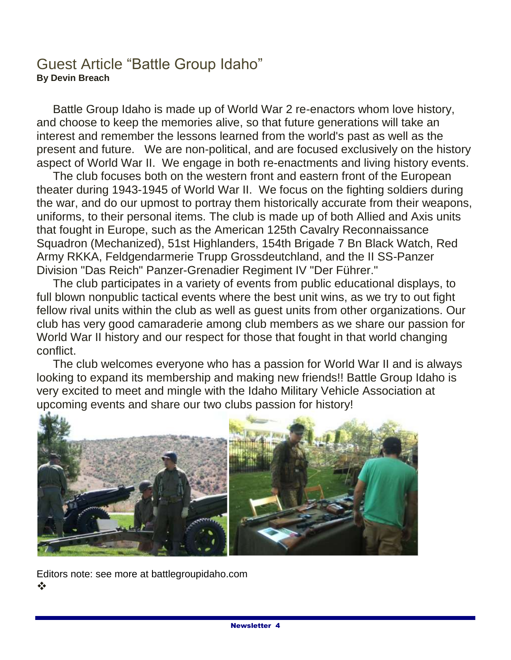## Guest Article "Battle Group Idaho" **By Devin Breach**

 Battle Group Idaho is made up of World War 2 re-enactors whom love history, and choose to keep the memories alive, so that future generations will take an interest and remember the lessons learned from the world's past as well as the present and future. We are non-political, and are focused exclusively on the history aspect of World War II. We engage in both re-enactments and living history events.

 The club focuses both on the western front and eastern front of the European theater during 1943-1945 of World War II. We focus on the fighting soldiers during the war, and do our upmost to portray them historically accurate from their weapons, uniforms, to their personal items. The club is made up of both Allied and Axis units that fought in Europe, such as the American 125th Cavalry Reconnaissance Squadron (Mechanized), 51st Highlanders, 154th Brigade 7 Bn Black Watch, Red Army RKKA, Feldgendarmerie Trupp Grossdeutchland, and the II SS-Panzer Division "Das Reich" Panzer-Grenadier Regiment IV "Der Führer."

 The club participates in a variety of events from public educational displays, to full blown nonpublic tactical events where the best unit wins, as we try to out fight fellow rival units within the club as well as guest units from other organizations. Our club has very good camaraderie among club members as we share our passion for World War II history and our respect for those that fought in that world changing conflict.

 The club welcomes everyone who has a passion for World War II and is always looking to expand its membership and making new friends!! Battle Group Idaho is very excited to meet and mingle with the Idaho Military Vehicle Association at upcoming events and share our two clubs passion for history!



Editors note: see more at battlegroupidaho.com  $\frac{1}{2}$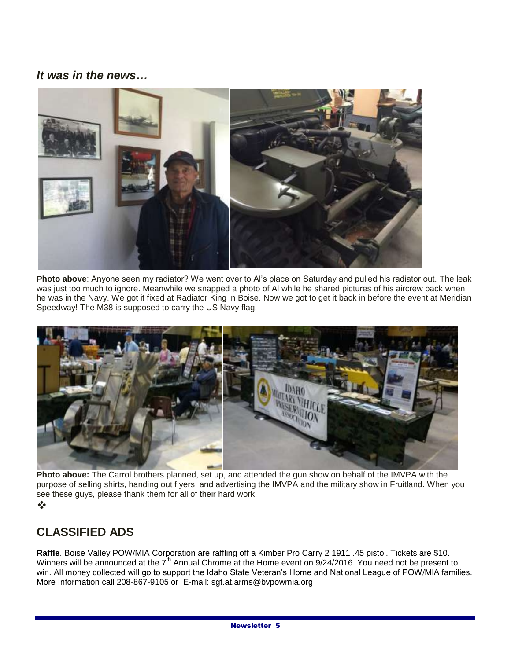### *It was in the news…*



**Photo above**: Anyone seen my radiator? We went over to Al's place on Saturday and pulled his radiator out. The leak was just too much to ignore. Meanwhile we snapped a photo of Al while he shared pictures of his aircrew back when he was in the Navy. We got it fixed at Radiator King in Boise. Now we got to get it back in before the event at Meridian Speedway! The M38 is supposed to carry the US Navy flag!



**Photo above:** The Carrol brothers planned, set up, and attended the gun show on behalf of the IMVPA with the purpose of selling shirts, handing out flyers, and advertising the IMVPA and the military show in Fruitland. When you see these guys, please thank them for all of their hard work.

#### $\frac{1}{2}$

### **CLASSIFIED ADS**

**Raffle**. Boise Valley POW/MIA Corporation are raffling off a Kimber Pro Carry 2 1911 .45 pistol. Tickets are \$10. Winners will be announced at the 7<sup>th</sup> Annual Chrome at the Home event on 9/24/2016. You need not be present to win. All money collected will go to support the Idaho State Veteran's Home and National League of POW/MIA families. More Information call 208-867-9105 or E-mail: sgt.at.arms@bvpowmia.org